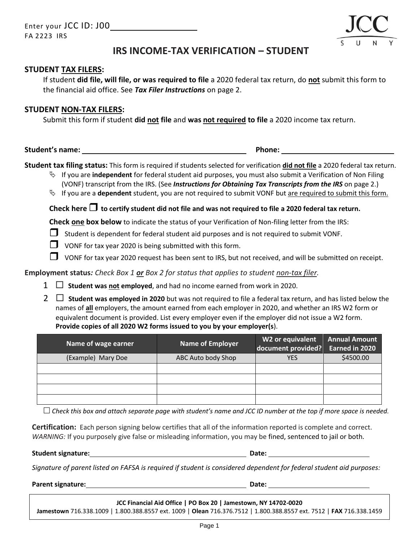

# **IRS INCOME-TAX VERIFICATION – STUDENT**

### **STUDENT TAX FILERS:**

If student **did file, will file, or was required to file** a 2020 federal tax return, do **not** submit this form to the financial aid office. See *Tax Filer Instructions* on page 2.

#### **STUDENT NON-TAX FILERS:**

Submit this form if student **did not file** and **was not required to file** a 2020 income tax return.

**Student's name: Phone:**

**Student tax filing status:** This form is required if students selected for verification **did not file** a 2020 federal tax return.

- If you are **independent** for federal student aid purposes, you must also submit a Verification of Non Filing (VONF) transcript from the IRS. (See *Instructions for Obtaining Tax Transcripts from the IRS* on page 2.)
- If you are a **dependent** student, you are not required to submit VONF but are required to submit this form.

Check here  $\Box$  to certify student did not file and was not required to file a 2020 federal tax return.

**Check one box below** to indicate the status of your Verification of Non-filing letter from the IRS:

 $\Box$  Student is dependent for federal student aid purposes and is not required to submit VONF.

- $\Box$  VONF for tax year 2020 is being submitted with this form.
- $\Box$  VONF for tax year 2020 request has been sent to IRS, but not received, and will be submitted on receipt.

**Employment status***: Check Box 1 or Box 2 for status that applies to student non-tax filer.*

- $1 \Box$  **Student was not employed**, and had no income earned from work in 2020.
- 2  **Student was employed in 2020** but was not required to file a federal tax return, and has listed below the names of **all** employers, the amount earned from each employer in 2020, and whether an IRS W2 form or equivalent document is provided. List every employer even if the employer did not issue a W2 form. **Provide copies of all 2020 W2 forms issued to you by your employer(s**).

| Name of wage earner | Name of Employer   | W2 or equivalent<br>document provided? | <b>Annual Amount</b><br>Earned in 2020 |
|---------------------|--------------------|----------------------------------------|----------------------------------------|
| (Example) Mary Doe  | ABC Auto body Shop | YES                                    | \$4500.00                              |
|                     |                    |                                        |                                        |
|                     |                    |                                        |                                        |
|                     |                    |                                        |                                        |
|                     |                    |                                        |                                        |

*Check this box and attach separate page with student's name and JCC ID number at the top if more space is needed.*

**Certification:** Each person signing below certifies that all of the information reported is complete and correct. *WARNING:* If you purposely give false or misleading information, you may be fined, sentenced to jail or both.

**Student signature: Date:**

*Signature of parent listed on FAFSA is required if student is considered dependent for federal student aid purposes:*

**Parent signature: Date:**

**JCC Financial Aid Office | PO Box 20 | Jamestown, NY 14702-0020**

**Jamestown** 716.338.1009 | 1.800.388.8557 ext. 1009 | **Olean** 716.376.7512 | 1.800.388.8557 ext. 7512 | **FAX** 716.338.1459